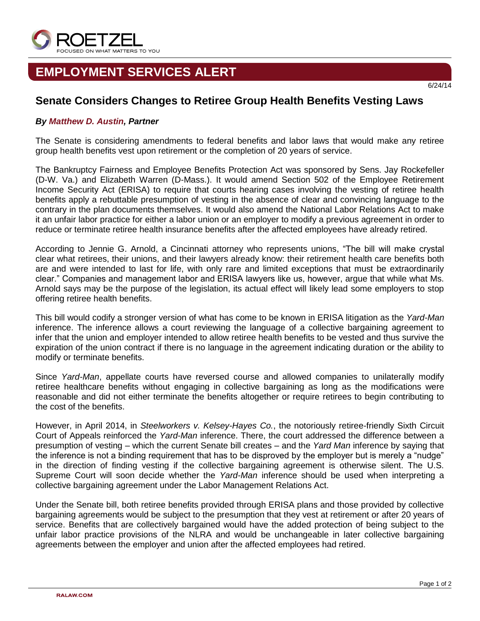

## **EMPLOYMENT SERVICES ALERT**

## **Senate Considers Changes to Retiree Group Health Benefits Vesting Laws**

## *By [Matthew D. Austin,](http://www.ralaw.com/matthew_austin) Partner*

The Senate is considering amendments to federal benefits and labor laws that would make any retiree group health benefits vest upon retirement or the completion of 20 years of service.

The Bankruptcy Fairness and Employee Benefits Protection Act was sponsored by Sens. Jay Rockefeller (D-W. Va.) and Elizabeth Warren (D-Mass.). It would amend Section 502 of the Employee Retirement Income Security Act (ERISA) to require that courts hearing cases involving the vesting of retiree health benefits apply a rebuttable presumption of vesting in the absence of clear and convincing language to the contrary in the plan documents themselves. It would also amend the National Labor Relations Act to make it an unfair labor practice for either a labor union or an employer to modify a previous agreement in order to reduce or terminate retiree health insurance benefits after the affected employees have already retired.

According to Jennie G. Arnold, a Cincinnati attorney who represents unions, "The bill will make crystal clear what retirees, their unions, and their lawyers already know: their retirement health care benefits both are and were intended to last for life, with only rare and limited exceptions that must be extraordinarily clear." Companies and management labor and ERISA lawyers like us, however, argue that while what Ms. Arnold says may be the purpose of the legislation, its actual effect will likely lead some employers to stop offering retiree health benefits.

This bill would codify a stronger version of what has come to be known in ERISA litigation as the *Yard-Man* inference. The inference allows a court reviewing the language of a collective bargaining agreement to infer that the union and employer intended to allow retiree health benefits to be vested and thus survive the expiration of the union contract if there is no language in the agreement indicating duration or the ability to modify or terminate benefits.

Since *Yard-Man*, appellate courts have reversed course and allowed companies to unilaterally modify retiree healthcare benefits without engaging in collective bargaining as long as the modifications were reasonable and did not either terminate the benefits altogether or require retirees to begin contributing to the cost of the benefits.

However, in April 2014, in *Steelworkers v. Kelsey-Hayes Co.*, the notoriously retiree-friendly Sixth Circuit Court of Appeals reinforced the *Yard-Man* inference. There, the court addressed the difference between a presumption of vesting – which the current Senate bill creates – and the *Yard Man* inference by saying that the inference is not a binding requirement that has to be disproved by the employer but is merely a "nudge" in the direction of finding vesting if the collective bargaining agreement is otherwise silent. The U.S. Supreme Court will soon decide whether the *Yard-Man* inference should be used when interpreting a collective bargaining agreement under the Labor Management Relations Act.

Under the Senate bill, both retiree benefits provided through ERISA plans and those provided by collective bargaining agreements would be subject to the presumption that they vest at retirement or after 20 years of service. Benefits that are collectively bargained would have the added protection of being subject to the unfair labor practice provisions of the NLRA and would be unchangeable in later collective bargaining agreements between the employer and union after the affected employees had retired.

6/24/14